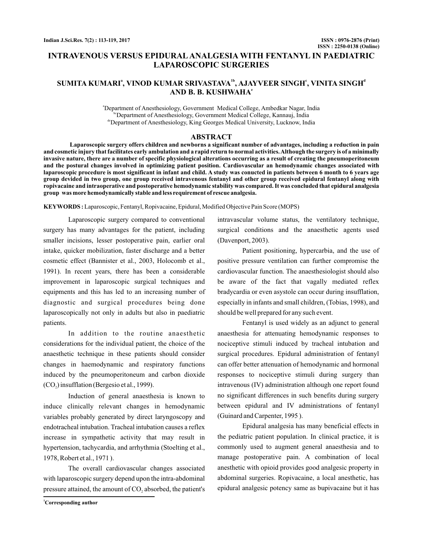# **INTRAVENOUS VERSUS EPIDURAL ANALGESIA WITH FENTANYL IN PAEDIATRIC LAPAROSCOPIC SURGERIES**

# $\boldsymbol{\mathsf{SUMITA}}$  KUMARI", VINOD KUMAR SRIVASTAVA'<sup>b</sup>, AJAYVEER SINGH', VINITA SINGH' **AND B. B. KUSHWAHA e**

a Department of Anesthesiology, Government Medical College, Ambedkar Nagar, India bcDepartment of Anesthesiology, Government Medical College, Kannauj, India de Department of Anesthesiology, King Georges Medical University, Lucknow, India

### **ABSTRACT**

**Laparoscopic surgery offers children and newborns a significant number of advantages, including a reduction in pain and cosmetic injury that facilitates early ambulation and a rapid return to normal activities.Although the surgery is of a minimally invasive nature, there are a number of specific physiological alterations occurring as a result of creating the pneumoperitoneum and the postural changes involved in optimizing patient position. Cardiovascular an hemodynamic changes associated with laparoscopic procedure is most significant in infant and child. A study was conucted in patients between 6 month to 6 years age group devided in two group, one group received intravenous fentanyl and other group received epidural fentanyl along with ropivacaine and intraoperative and postoperative hemodynamic stability was compared. It was concluded that epidural analgesia group was more hemodynamically stable and less requirement of rescue analgesia.**

KEYWORDS: Laparoscopic, Fentanyl, Ropivacaine, Epidural, Modified Objective Pain Score (MOPS)

Laparoscopic surgery compared to conventional surgery has many advantages for the patient, including smaller incisions, lesser postoperative pain, earlier oral intake, quicker mobilization, faster discharge and a better cosmetic effect (Bannister et al., 2003, Holocomb et al., 1991). In recent years, there has been a considerable improvement in laparoscopic surgical techniques and equipments and this has led to an increasing number of diagnostic and surgical procedures being done laparoscopically not only in adults but also in paediatric patients.

In addition to the routine anaesthetic considerations for the individual patient, the choice of the anaesthetic technique in these patients should consider changes in haemodynamic and respiratory functions induced by the pneumoperitoneum and carbon dioxide  $(CO<sub>2</sub>)$  insufflation (Bergesio et al., 1999).

Induction of general anaesthesia is known to induce clinically relevant changes in hemodynamic variables probably generated by direct laryngoscopy and endotracheal intubation. Tracheal intubation causes a reflex increase in sympathetic activity that may result in hypertension, tachycardia, and arrhythmia (Stoelting et al., 1978, Robert et al., 1971 ).

The overall cardiovascular changes associated with laparoscopic surgery depend upon the intra-abdominal pressure attained, the amount of  $CO<sub>2</sub>$  absorbed, the patient's

**<sup>1</sup>Corresponding author**

intravascular volume status, the ventilatory technique, surgical conditions and the anaesthetic agents used (Davenport, 2003).

Patient positioning, hypercarbia, and the use of positive pressure ventilation can further compromise the cardiovascular function. The anaesthesiologist should also be aware of the fact that vagally mediated reflex bradycardia or even asystole can occur during insufflation, especially in infants and small children, (Tobias, 1998), and should be well prepared for any such event.

Fentanyl is used widely as an adjunct to general anaesthesia for attenuating hemodynamic responses to nociceptive stimuli induced by tracheal intubation and surgical procedures. Epidural administration of fentanyl can offer better attenuation of hemodynamic and hormonal responses to nociceptive stimuli during surgery than intravenous (IV) administration although one report found no significant differences in such benefits during surgery between epidural and IV administrations of fentanyl (Guinard and Carpenter, 1995 ).

Epidural analgesia has many beneficial effects in the pediatric patient population. In clinical practice, it is commonly used to augment general anaesthesia and to manage postoperative pain. A combination of local anesthetic with opioid provides good analgesic property in abdominal surgeries. Ropivacaine, a local anesthetic, has epidural analgesic potency same as bupivacaine but it has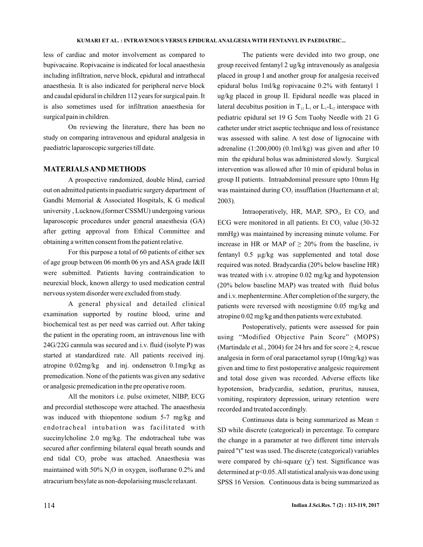less of cardiac and motor involvement as compared to bupivacaine. Ropivacaine is indicated for local anaesthesia including infiltration, nerve block, epidural and intrathecal anaesthesia. It is also indicated for peripheral nerve block and caudal epidural in children 112 years for surgical pain. It is also sometimes used for infiltration anaesthesia for surgical pain in children.

On reviewing the literature, there has been no study on comparing intravenous and epidural analgesia in paediatric laparoscopic surgeries till date.

## **MATERIALSAND METHODS**

A prospective randomized, double blind, carried out on admitted patients in paediatric surgery department of Gandhi Memorial & Associated Hospitals, K G medical university , Lucknow,(former CSSMU) undergoing various laparoscopic procedures under general anaesthesia (GA) after getting approval from Ethical Committee and obtaining a written consent from the patient relative.

For this purpose a total of 60 patients of either sex of age group between 06 month 06 yrs and ASA grade I&II were submitted. Patients having contraindication to neurexial block, known allergy to used medication central nervous system disorder were excluded from study.

A general physical and detailed clinical examination supported by routine blood, urine and biochemical test as per need was carried out. After taking the patient in the operating room, an intravenous line with 24G/22G cannula was secured and i.v. fluid (isolyte P) was started at standardized rate. All patients received inj. atropine 0.02mg/kg and inj. ondensetron 0.1mg/kg as premedication. None of the patients was given any sedative or analgesic premedication in the pre operative room.

All the monitors i.e. pulse oximeter, NIBP, ECG and precordial stethoscope were attached. The anaesthesia was induced with thiopentone sodium 5-7 mg/kg and endotracheal intubation was facilitated with succinylcholine 2.0 mg/kg. The endotracheal tube was secured after confirming bilateral equal breath sounds and end tidal  $CO<sub>2</sub>$  probe was attached. Anaesthesia was maintained with 50%  $N_2O$  in oxygen, isoflurane 0.2% and atracurium besylate as non-depolarising muscle relaxant.

The patients were devided into two group, one group received fentanyl 2 ug/kg intravenously as analgesia placed in group I and another group for analgesia received epidural bolus 1ml/kg ropivacaine 0.2% with fentanyl 1 ug/kg placed in group II. Epidural needle was placed in lateral decubitus position in  $T_{12} L_1$  or  $L_1$ - $L_2$  interspace with pediatric epidural set 19 G 5cm Tuohy Needle with 21 G catheter under strict aseptic technique and loss of resistance was assessed with saline. A test dose of lignocaine with adrenaline (1:200,000) (0.1ml/kg) was given and after 10 min the epidural bolus was administered slowly. Surgical intervention was allowed after 10 min of epidural bolus in group II patients. Intraabdominal pressure upto 10mm Hg was maintained during  $CO<sub>2</sub>$  insufflation (Huettemann et al; 2003).

Intraoperatively, HR, MAP,  $SPO_2$ , Et  $CO_2$  and ECG were monitored in all patients. Et  $CO<sub>2</sub>$  value (30-32) mmHg) was maintained by increasing minute volume. For increase in HR or MAP of  $\geq 20\%$  from the baseline, iv fentanyl 0.5 µg/kg was supplemented and total dose required was noted. Bradycardia (20% below baseline HR) was treated with i.v. atropine 0.02 mg/kg and hypotension (20% below baseline MAP) was treated with fluid bolus and i.v. mephentermine.After completion of the surgery, the patients were reversed with neostigmine 0.05 mg/kg and atropine 0.02 mg/kg and then patients were extubated.

Postoperatively, patients were assessed for pain using "Modified Objective Pain Score" (MOPS) (Martindale et al., 2004) for 24 hrs and for score  $\geq$  4, rescue analgesia in form of oral paracetamol syrup (10mg/kg) was given and time to first postoperative analgesic requirement and total dose given was recorded. Adverse effects like hypotension, bradycardia, sedation, pruritus, nausea, vomiting, respiratory depression, urinary retention were recorded and treated accordingly.

Continuous data is being summarized as Mean  $\pm$ SD while discrete (categorical) in percentage. To compare the change in a parameter at two different time intervals paired "t" test was used. The discrete (categorical) variables were compared by chi-square  $(\chi^2)$  test. Significance was determined at  $p<0.05$ . All statistical analysis was done using SPSS 16 Version. Continuous data is being summarized as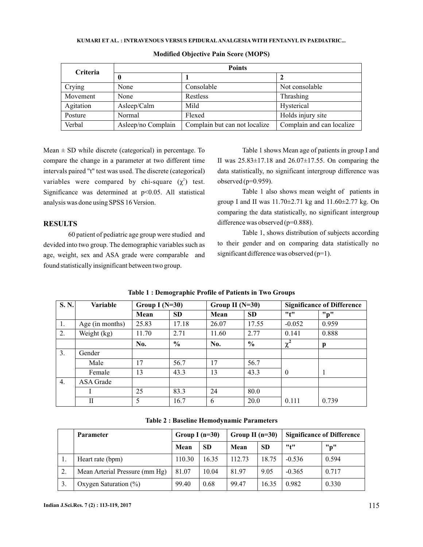| Criteria  | <b>Points</b>      |                               |                           |  |  |  |  |  |
|-----------|--------------------|-------------------------------|---------------------------|--|--|--|--|--|
|           | 0                  |                               |                           |  |  |  |  |  |
| Crying    | None               | Consolable                    | Not consolable            |  |  |  |  |  |
| Movement  | None               | Restless                      | Thrashing                 |  |  |  |  |  |
| Agitation | Asleep/Calm        | Mild                          | Hysterical                |  |  |  |  |  |
| Posture   | Normal             | Flexed                        | Holds injury site         |  |  |  |  |  |
| Verbal    | Asleep/no Complain | Complain but can not localize | Complain and can localize |  |  |  |  |  |

#### **Modified Objective Pain Score (MOPS)**

Mean  $\pm$  SD while discrete (categorical) in percentage. To compare the change in a parameter at two different time intervals paired "t" test was used. The discrete (categorical) variables were compared by chi-square  $(\chi^2)$  test. Significance was determined at p<0.05. All statistical analysis was done using SPSS 16 Version.

# **RESULTS**

60 patient of pediatric age group were studied and devided into two group. The demographic variables such as age, weight, sex and ASA grade were comparable and found statistically insignificant between two group.

Table 1 shows Mean age of patients in group I and II was  $25.83 \pm 17.18$  and  $26.07 \pm 17.55$ . On comparing the data statistically, no significant intergroup difference was observed  $(p=0.959)$ .

Table 1 also shows mean weight of patients in group I and II was  $11.70 \pm 2.71$  kg and  $11.60 \pm 2.77$  kg. On comparing the data statistically, no significant intergroup difference was observed (p=0.888).

Table 1, shows distribution of subjects according to their gender and on comparing data statistically no significant difference was observed (p=1).

| S. N.            | Variable        | Group I $(N=30)$ |               | Group II $(N=30)$ |               | <b>Significance of Difference</b> |       |
|------------------|-----------------|------------------|---------------|-------------------|---------------|-----------------------------------|-------|
|                  |                 | Mean             | <b>SD</b>     | Mean              | <b>SD</b>     | "t"                               | "p"   |
| 1.               | Age (in months) | 25.83            | 17.18         | 26.07             | 17.55         | $-0.052$                          | 0.959 |
| 2.               | Weight (kg)     | 11.70            | 2.71          | 11.60             | 2.77          | 0.141                             | 0.888 |
|                  |                 | No.              | $\frac{0}{0}$ | No.               | $\frac{0}{0}$ | $\chi^2$                          | p     |
| 3.               | Gender          |                  |               |                   |               |                                   |       |
|                  | Male            | 17               | 56.7          | 17                | 56.7          |                                   |       |
|                  | Female          | 13               | 43.3          | 13                | 43.3          | $\Omega$                          | -1    |
| $\overline{4}$ . | ASA Grade       |                  |               |                   |               |                                   |       |
|                  |                 | 25               | 83.3          | 24                | 80.0          |                                   |       |
|                  | Н               | 5                | 16.7          | 6                 | 20.0          | 0.111                             | 0.739 |

|  | Table 1: Demographic Profile of Patients in Two Groups |  |  |  |
|--|--------------------------------------------------------|--|--|--|
|  |                                                        |  |  |  |

|    | <b>Parameter</b>               | Group I $(n=30)$ |           | Group II $(n=30)$ |           | <b>Significance of Difference</b> |       |
|----|--------------------------------|------------------|-----------|-------------------|-----------|-----------------------------------|-------|
|    |                                | Mean             | <b>SD</b> | Mean              | <b>SD</b> | "t"                               | "p"   |
| ., | Heart rate (bpm)               | 110.30           | 16.35     | 112.73            | 18.75     | $-0.536$                          | 0.594 |
| 2. | Mean Arterial Pressure (mm Hg) | 81.07            | 10.04     | 81.97             | 9.05      | $-0.365$                          | 0.717 |
|    | Oxygen Saturation $(\%)$       | 99.40            | 0.68      | 99.47             | 16.35     | 0.982                             | 0.330 |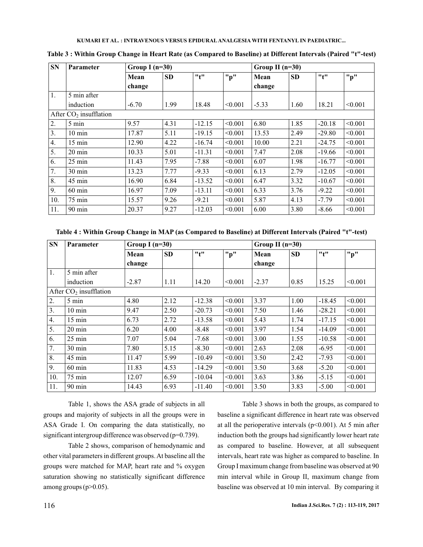| ${\bf SN}$ | <b>Parameter</b>         | Group I $(n=30)$ |           |          |         | Group II $(n=30)$ |           |          |         |  |
|------------|--------------------------|------------------|-----------|----------|---------|-------------------|-----------|----------|---------|--|
|            |                          | Mean             | <b>SD</b> | "t"      | "p"     | Mean              | <b>SD</b> | "t"      | "p"     |  |
|            |                          | change           |           |          |         | change            |           |          |         |  |
| 1.         | 5 min after              |                  |           |          |         |                   |           |          |         |  |
|            | induction                | $-6.70$          | 1.99      | 18.48    | < 0.001 | $-5.33$           | 1.60      | 18.21    | < 0.001 |  |
|            | After $CO2$ insufflation |                  |           |          |         |                   |           |          |         |  |
| 2.         | 5 min                    | 9.57             | 4.31      | $-12.15$ | < 0.001 | 6.80              | 1.85      | $-20.18$ | < 0.001 |  |
| 3.         | $10 \text{ min}$         | 17.87            | 5.11      | $-19.15$ | < 0.001 | 13.53             | 2.49      | $-29.80$ | < 0.001 |  |
| 4.         | 15 min                   | 12.90            | 4.22      | $-16.74$ | < 0.001 | 10.00             | 2.21      | $-24.75$ | < 0.001 |  |
| 5.         | $20 \text{ min}$         | 10.33            | 5.01      | $-11.31$ | < 0.001 | 7.47              | 2.08      | $-19.66$ | < 0.001 |  |
| 6.         | $25 \text{ min}$         | 11.43            | 7.95      | $-7.88$  | < 0.001 | 6.07              | 1.98      | $-16.77$ | < 0.001 |  |
| 7.         | 30 min                   | 13.23            | 7.77      | $-9.33$  | < 0.001 | 6.13              | 2.79      | $-12.05$ | < 0.001 |  |
| 8.         | 45 min                   | 16.90            | 6.84      | $-13.52$ | < 0.001 | 6.47              | 3.32      | $-10.67$ | < 0.001 |  |
| 9.         | $60 \text{ min}$         | 16.97            | 7.09      | $-13.11$ | < 0.001 | 6.33              | 3.76      | $-9.22$  | < 0.001 |  |
| 10.        | 75 min                   | 15.57            | 9.26      | $-9.21$  | < 0.001 | 5.87              | 4.13      | $-7.79$  | < 0.001 |  |
| 11.        | 90 min                   | 20.37            | 9.27      | $-12.03$ | < 0.001 | 6.00              | 3.80      | $-8.66$  | < 0.001 |  |

**Table 3 : Within Group Change in Heart Rate (as Compared to Baseline) at Different Intervals (Paired "t"-test)**

**Table 4 : Within Group Change in MAP (as Compared to Baseline) at Different Intervals (Paired "t"-test)**

| <b>SN</b> | <b>Parameter</b>         | Group I $(n=30)$ |           |          | Group II $(n=30)$ |         |           |          |         |
|-----------|--------------------------|------------------|-----------|----------|-------------------|---------|-----------|----------|---------|
|           |                          | Mean             | <b>SD</b> | "t"      | "p"               | Mean    | <b>SD</b> | "t"      | "p"     |
|           |                          | change           |           |          |                   | change  |           |          |         |
| 1.        | 5 min after              |                  |           |          |                   |         |           |          |         |
|           | induction                | $-2.87$          | 1.11      | 14.20    | < 0.001           | $-2.37$ | 0.85      | 15.25    | < 0.001 |
|           | After $CO2$ insufflation |                  |           |          |                   |         |           |          |         |
| 2.        | 5 min                    | 4.80             | 2.12      | $-12.38$ | < 0.001           | 3.37    | 1.00      | $-18.45$ | < 0.001 |
| 3.        | $10 \text{ min}$         | 9.47             | 2.50      | $-20.73$ | < 0.001           | 7.50    | 1.46      | $-28.21$ | < 0.001 |
| 4.        | $15 \text{ min}$         | 6.73             | 2.72      | $-13.58$ | < 0.001           | 5.43    | 1.74      | $-17.15$ | < 0.001 |
| 5.        | $20 \text{ min}$         | 6.20             | 4.00      | $-8.48$  | < 0.001           | 3.97    | 1.54      | $-14.09$ | < 0.001 |
| 6.        | 25 min                   | 7.07             | 5.04      | $-7.68$  | < 0.001           | 3.00    | 1.55      | $-10.58$ | < 0.001 |
| 7.        | 30 min                   | 7.80             | 5.15      | $-8.30$  | < 0.001           | 2.63    | 2.08      | $-6.95$  | < 0.001 |
| 8.        | 45 min                   | 11.47            | 5.99      | $-10.49$ | < 0.001           | 3.50    | 2.42      | $-7.93$  | < 0.001 |
| 9.        | $60$ min                 | 11.83            | 4.53      | $-14.29$ | < 0.001           | 3.50    | 3.68      | $-5.20$  | < 0.001 |
| 10.       | 75 min                   | 12.07            | 6.59      | $-10.04$ | < 0.001           | 3.63    | 3.86      | $-5.15$  | < 0.001 |
| 11.       | $90 \text{ min}$         | 14.43            | 6.93      | $-11.40$ | < 0.001           | 3.50    | 3.83      | $-5.00$  | < 0.001 |

Table 1, shows the ASA grade of subjects in all groups and majority of subjects in all the groups were in ASA Grade I. On comparing the data statistically, no significant intergroup difference was observed (p=0.739).

Table 2 shows, comparison of hemodynamic and other vital parameters in different groups.At baseline all the groups were matched for MAP, heart rate and % oxygen saturation showing no statistically significant difference among groups  $(p>0.05)$ .

Table 3 shows in both the groups, as compared to baseline a significant difference in heart rate was observed at all the perioperative intervals ( $p<0.001$ ). At 5 min after induction both the groups had significantly lower heart rate as compared to baseline. However, at all subsequent intervals, heart rate was higher as compared to baseline. In Group I maximum change from baseline was observed at 90 min interval while in Group II, maximum change from baseline was observed at 10 min interval. By comparing it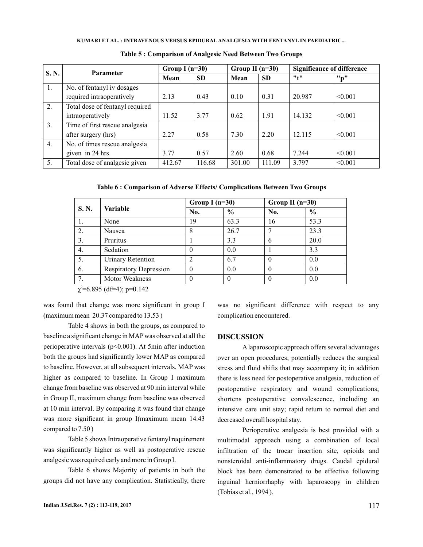| S. N. | <b>Parameter</b>                | Group I $(n=30)$ |           | Group II $(n=30)$ |           | <b>Significance of difference</b> |         |
|-------|---------------------------------|------------------|-----------|-------------------|-----------|-----------------------------------|---------|
|       |                                 | Mean             | <b>SD</b> | Mean              | <b>SD</b> | "1"                               | "p"     |
| 1.    | No. of fentanyl iv dosages      |                  |           |                   |           |                                   |         |
|       | required intraoperatively       | 2.13             | 0.43      | 0.10              | 0.31      | 20.987                            | < 0.001 |
| 2.    | Total dose of fentanyl required |                  |           |                   |           |                                   |         |
|       | intraoperatively                | 11.52            | 3.77      | 0.62              | 1.91      | 14.132                            | < 0.001 |
| 3.    | Time of first rescue analgesia  |                  |           |                   |           |                                   |         |
|       | after surgery (hrs)             | 2.27             | 0.58      | 7.30              | 2.20      | 12.115                            | < 0.001 |
| 4.    | No. of times rescue analgesia   |                  |           |                   |           |                                   |         |
|       | given in 24 hrs                 | 3.77             | 0.57      | 2.60              | 0.68      | 7.244                             | < 0.001 |
| 5.    | Total dose of analgesic given   | 412.67           | 116.68    | 301.00            | 111.09    | 3.797                             | < 0.001 |

**Table 5 : Comparison of Analgesic Need Between Two Groups**

**Table 6 : Comparison of Adverse Effects/ Complications Between Two Groups**

| S. N. |                               | Group I $(n=30)$ |               | Group II $(n=30)$ |      |  |
|-------|-------------------------------|------------------|---------------|-------------------|------|--|
|       | <b>Variable</b>               | No.              | $\frac{6}{6}$ | No.               | $\%$ |  |
| 1.    | None                          | 19               | 63.3          | 16                | 53.3 |  |
| 2.    | Nausea                        | 8                | 26.7          |                   | 23.3 |  |
| 3.    | Pruritus                      |                  | 3.3           | 6                 | 20.0 |  |
| 4.    | Sedation                      | $\theta$         | 0.0           |                   | 3.3  |  |
| 5.    | <b>Urinary Retention</b>      | 2                | 6.7           | $\theta$          | 0.0  |  |
| 6.    | <b>Respiratory Depression</b> | $\Omega$         | 0.0           | $\theta$          | 0.0  |  |
| 7.    | <b>Motor Weakness</b>         | $\Omega$         | $\theta$      | $\theta$          | 0.0  |  |

 $\chi^2$ =6.895 (df=4); p=0.142

was found that change was more significant in group I (maximum mean 20.37 compared to 13.53 )

Table 4 shows in both the groups, as compared to baseline a significant change in MAP was observed at all the perioperative intervals  $(p<0.001)$ . At 5min after induction both the groups had significantly lower MAP as compared to baseline. However, at all subsequent intervals, MAP was higher as compared to baseline. In Group I maximum change from baseline was observed at 90 min interval while in Group II, maximum change from baseline was observed at 10 min interval. By comparing it was found that change was more significant in group I(maximum mean 14.43 compared to 7.50 )

Table 5 shows Intraoperative fentanyl requirement was significantly higher as well as postoperative rescue analgesic was required early and more in Group I.

Table 6 shows Majority of patients in both the groups did not have any complication. Statistically, there

was no significant difference with respect to any complication encountered.

# **DISCUSSION**

Alaparoscopic approach offers several advantages over an open procedures; potentially reduces the surgical stress and fluid shifts that may accompany it; in addition there is less need for postoperative analgesia, reduction of postoperative respiratory and wound complications; shortens postoperative convalescence, including an intensive care unit stay; rapid return to normal diet and decreased overall hospital stay.

Perioperative analgesia is best provided with a multimodal approach using a combination of local infiltration of the trocar insertion site, opioids and nonsteroidal anti-inflammatory drugs. Caudal epidural block has been demonstrated to be effective following inguinal herniorrhaphy with laparoscopy in children (Tobias et al., 1994 ).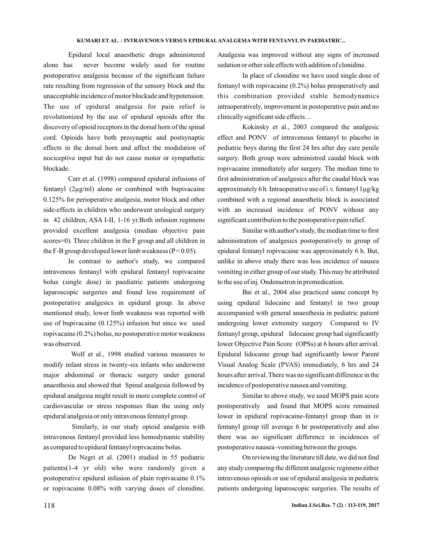Epidural local anaesthetic drugs administered alone has never become widely used for routine postoperative analgesia because of the significant failure rate resulting from regression of the sensory block and the unacceptable incidence of motor blockade and hypotension. The use of epidural analgesia for pain relief is revolutionized by the use of epidural opioids after the discovery of opioid receptors in the dorsal horn of the spinal cord. Opioids have both presynaptic and postsynaptic effects in the dorsal horn and affect the modulation of nociceptive input but do not cause motor or sympathetic blockade.

Carr et al. (1998) compared epidural infusions of fentanyl (2µg/ml) alone or combined with bupivacaine 0.125% for perioperative analgesia, motor block and other side-effects in children who underwent urological surgery in 42 children, ASA I-II, 1-16 yr.Both infusion regimens provided excellent analgesia (median objective pain scores=0). Three children in the F group and all children in the F-B group developed lower limb weakness ( $P < 0.05$ ).

In contrast to author's study, we compared intravenous fentanyl with epidural fentanyl ropivacaine bolus (single dose) in paediatric patients undergoing laparoscopic surgeries and found less requirement of postoperative analgesics in epidural group. In above mentioned study, lower limb weakness was reported with use of bupivacaine (0.125%) infusion but since we used ropivacaine (0.2%) bolus, no postoperative motor weakness was observed.

Wolf et al., 1998 studied various measures to modify infant stress in twenty-six infants who underwent major abdominal or thoracic surgery under general anaesthesia and showed that Spinal analgesia followed by epidural analgesia might result in more complete control of cardiovascular or stress responses than the using only epidural analgesia or only intravenous fentanyl group.

Similarly, in our study opioid analgesia with intravenous fentanyl provided less hemodynamic stability as compared to epidural fentanyl ropivacaine bolus.

De Negri et al. (2001) studied in 55 pediatric patients(1-4 yr old) who were randomly given a postoperative epidural infusion of plain ropivacaine 0.1% or ropivacaine 0.08% with varying doses of clonidine.

Analgesia was improved without any signs of increased sedation or other side effects with addition of clonidine.

In place of clonidine we have used single dose of fentanyl with ropivacaine (0.2%) bolus preoperatively and this combination provided stable hemodynamics intraoperatively, improvement in postoperative pain and no clinically significant side effects…

Kokinsky et al., 2003 compared the analgesic effect and PONV of intravenous fentanyl to placebo in pediatric boys during the first 24 hrs after day care penile surgery. Both group were administred caudal block with ropivacaine immediately afer surgery. The median time to first administration of analgesics after the caudal block was approximately 6 h. Intraoperative use of i.v. fentanyl 1µg/kg combined with a regional anaesthetic block is associated with an increased incidence of PONV without any significant contribution to the postoperative pain relief.

Similar with author's study, the median time to first administration of analgesics postoperatively in group of epidural fentanyl ropivacaine was approximately 6 h. But, unlike in above study there was less incidence of nausea vomiting in either group of our study. This may be attributed to the use of inj. Ondensetron in premedication.

Bai et al., 2004 also practiced same concept by using epidural lidocaine and fentanyl in two group accompanied with general anaesthesia in pediatric patient undergoing lower extremity surgery Compared to IV fentanyl group, epidural lidocaine group had significantly lower Objective Pain Score (OPSs) at 6 hours after arrival. Epidural lidocaine group had significantly lower Parent Visual Analog Scale (PVAS) immediately, 6 hrs and 24 hours after arrival. There was no significant difference in the incidence of postoperative nausea and vomiting.

Similar to above study, we used MOPS pain score postoperatively and found that MOPS score remained lower in epidural ropivacaine-fentanyl group than in iv fentanyl group till average 6 hr postoperatively and also there was no significant difference in incidences of postoperative nausea -vomiting between the groups.

On reviewing the literature till date, we did not find any study comparing the different analgesic regimens either intravenous opioids or use of epidural analgesia in pediatric patients undergoing laparoscopic surgeries. The results of